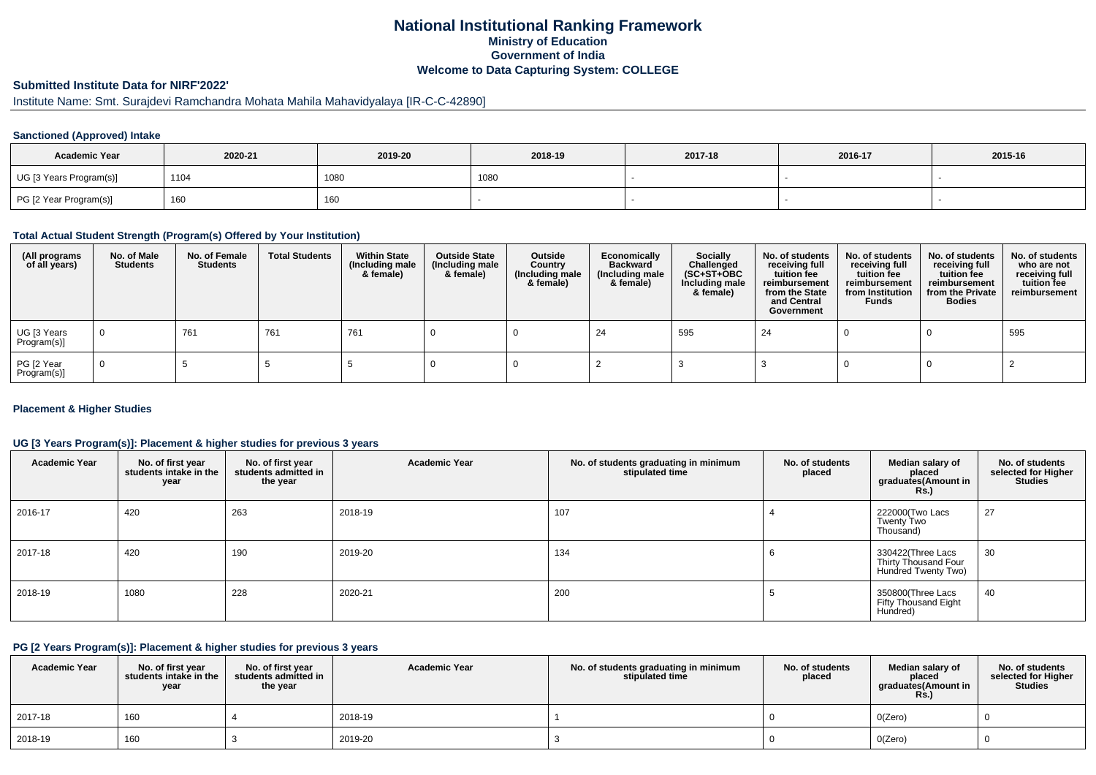## **National Institutional Ranking FrameworkMinistry of Education Government of IndiaWelcome to Data Capturing System: COLLEGE**

# **Submitted Institute Data for NIRF'2022'**

# Institute Name: Smt. Surajdevi Ramchandra Mohata Mahila Mahavidyalaya [IR-C-C-42890]

#### **Sanctioned (Approved) Intake**

| <b>Academic Year</b>    | 2020-21 | 2019-20 | 2018-19 | 2017-18 | 2016-17 | 2015-16 |
|-------------------------|---------|---------|---------|---------|---------|---------|
| UG [3 Years Program(s)] | 1104    | 1080    | 1080    |         |         |         |
| PG [2 Year Program(s)]  | 160     | 160     |         |         |         |         |

#### **Total Actual Student Strength (Program(s) Offered by Your Institution)**

| (All programs<br>of all years) | No. of Male<br><b>Students</b> | No. of Female<br>Students | <b>Total Students</b> | <b>Within State</b><br>(Including male<br>& female) | <b>Outside State</b><br>(Including male<br>& female) | Outside<br>Country<br>(Including male<br>& female) | Economically<br>Backward<br>(Including male<br>& female) | <b>Socially</b><br>Challenged<br>$(SC+ST+OBC)$<br>Including male<br>& female) | No. of students<br>receiving full<br>tuition fee<br>reimbursement<br>from the State<br>and Central<br>Government | No. of students<br>receiving full<br>tuition fee<br>reimbursement<br>from Institution<br><b>Funds</b> | No. of students<br>receiving full<br>tuition fee<br>reimbursement<br>from the Private<br><b>Bodies</b> | No. of students<br>who are not<br>receiving full<br>tuition fee<br>reimbursement |
|--------------------------------|--------------------------------|---------------------------|-----------------------|-----------------------------------------------------|------------------------------------------------------|----------------------------------------------------|----------------------------------------------------------|-------------------------------------------------------------------------------|------------------------------------------------------------------------------------------------------------------|-------------------------------------------------------------------------------------------------------|--------------------------------------------------------------------------------------------------------|----------------------------------------------------------------------------------|
| UG [3 Years<br>Program(s)]     | $\mathbf 0$                    | 761                       | 761                   | 761                                                 |                                                      |                                                    | -24                                                      | 595                                                                           | 24                                                                                                               |                                                                                                       |                                                                                                        | 595                                                                              |
| PG [2 Year<br>Program(s)]      | $\mathbf{0}$                   |                           |                       |                                                     |                                                      |                                                    |                                                          |                                                                               |                                                                                                                  |                                                                                                       |                                                                                                        |                                                                                  |

#### **Placement & Higher Studies**

#### **UG [3 Years Program(s)]: Placement & higher studies for previous 3 years**

| <b>Academic Year</b> | No. of first year<br>students intake in the<br>year | No. of first year<br>students admitted in<br>the year | <b>Academic Year</b> | No. of students graduating in minimum<br>stipulated time | No. of students<br>placed | Median salary of<br>placed<br>graduates(Amount in<br><b>Rs.)</b> | No. of students<br>selected for Higher<br><b>Studies</b> |
|----------------------|-----------------------------------------------------|-------------------------------------------------------|----------------------|----------------------------------------------------------|---------------------------|------------------------------------------------------------------|----------------------------------------------------------|
| 2016-17              | 420                                                 | 263                                                   | 2018-19              | 107                                                      |                           | 222000(Two Lacs<br><b>Twenty Two</b><br>Thousand)                | 27                                                       |
| 2017-18              | 420                                                 | 190                                                   | 2019-20              | 134                                                      | o                         | 330422(Three Lacs<br>Thirty Thousand Four<br>Hundred Twenty Two) | 30                                                       |
| 2018-19              | 1080                                                | 228                                                   | 2020-21              | 200                                                      |                           | 350800(Three Lacs<br><b>Fifty Thousand Eight</b><br>Hundred)     | 40                                                       |

#### **PG [2 Years Program(s)]: Placement & higher studies for previous 3 years**

| <b>Academic Year</b> | No. of first year<br>students intake in the<br>year | No. of first vear<br>students admitted in<br>the year | <b>Academic Year</b> | No. of students graduating in minimum<br>stipulated time | No. of students<br>placed | Median salary of<br>placed<br>graduates(Amount in<br><b>Rs.)</b> | No. of students<br>selected for Higher<br><b>Studies</b> |
|----------------------|-----------------------------------------------------|-------------------------------------------------------|----------------------|----------------------------------------------------------|---------------------------|------------------------------------------------------------------|----------------------------------------------------------|
| 2017-18              | 160                                                 |                                                       | 2018-19              |                                                          |                           | O(Zero)                                                          |                                                          |
| 2018-19              | 160                                                 |                                                       | 2019-20              |                                                          |                           | O(Zero)                                                          |                                                          |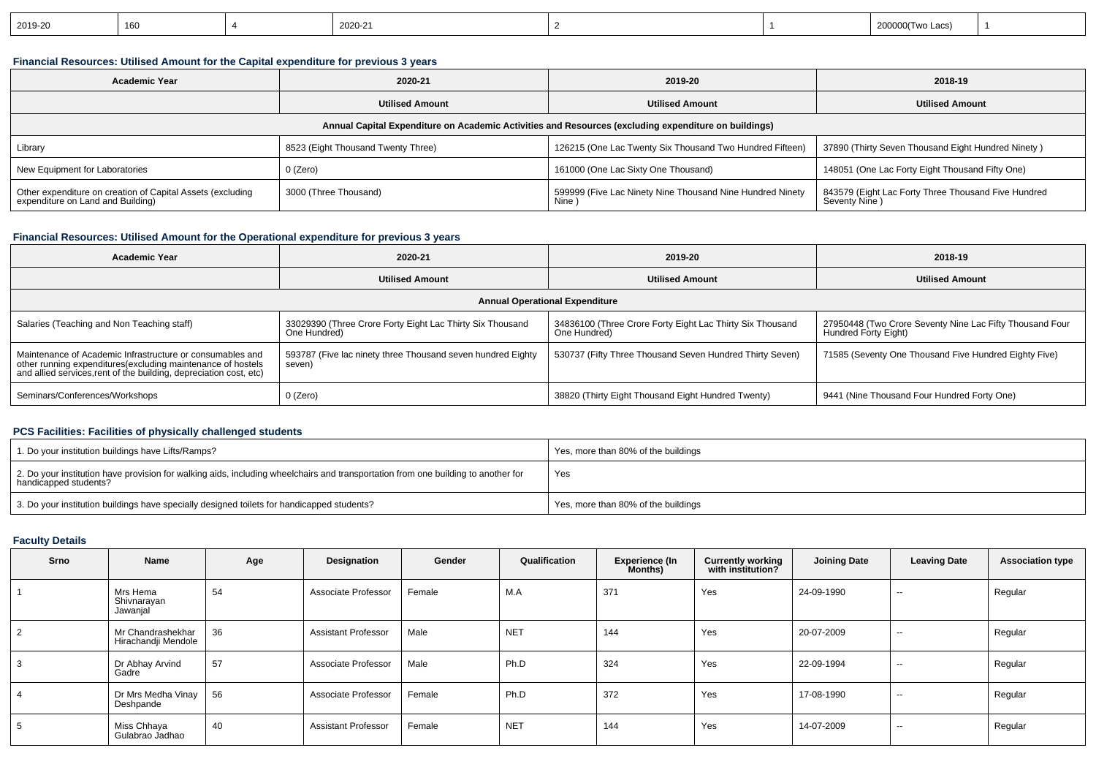| 2019-20<br>2020-21<br>16 <sub>L</sub><br>,,,,,,,,,,,,<br>எப்ல |  |
|---------------------------------------------------------------|--|
|---------------------------------------------------------------|--|

## **Financial Resources: Utilised Amount for the Capital expenditure for previous 3 years**

| <b>Academic Year</b>                                                                                 | 2020-21                            | 2019-20                                                            | 2018-19                                                              |  |  |  |  |  |  |
|------------------------------------------------------------------------------------------------------|------------------------------------|--------------------------------------------------------------------|----------------------------------------------------------------------|--|--|--|--|--|--|
|                                                                                                      | <b>Utilised Amount</b>             | <b>Utilised Amount</b>                                             | <b>Utilised Amount</b>                                               |  |  |  |  |  |  |
| Annual Capital Expenditure on Academic Activities and Resources (excluding expenditure on buildings) |                                    |                                                                    |                                                                      |  |  |  |  |  |  |
| Library                                                                                              | 8523 (Eight Thousand Twenty Three) | 126215 (One Lac Twenty Six Thousand Two Hundred Fifteen)           | 37890 (Thirty Seven Thousand Eight Hundred Ninety)                   |  |  |  |  |  |  |
| New Equipment for Laboratories                                                                       | 0 (Zero)                           | 161000 (One Lac Sixty One Thousand)                                | 148051 (One Lac Forty Eight Thousand Fifty One)                      |  |  |  |  |  |  |
| Other expenditure on creation of Capital Assets (excluding<br>expenditure on Land and Building)      | 3000 (Three Thousand)              | 599999 (Five Lac Ninety Nine Thousand Nine Hundred Ninety<br>Nine) | 843579 (Eight Lac Forty Three Thousand Five Hundred<br>Seventy Nine) |  |  |  |  |  |  |

## **Financial Resources: Utilised Amount for the Operational expenditure for previous 3 years**

| <b>Academic Year</b>                                                                                                                                                                            | 2020-21                                                                   | 2019-20                                                                   | 2018-19                                                                          |  |  |  |  |  |  |
|-------------------------------------------------------------------------------------------------------------------------------------------------------------------------------------------------|---------------------------------------------------------------------------|---------------------------------------------------------------------------|----------------------------------------------------------------------------------|--|--|--|--|--|--|
|                                                                                                                                                                                                 | <b>Utilised Amount</b>                                                    | <b>Utilised Amount</b>                                                    | <b>Utilised Amount</b>                                                           |  |  |  |  |  |  |
| <b>Annual Operational Expenditure</b>                                                                                                                                                           |                                                                           |                                                                           |                                                                                  |  |  |  |  |  |  |
| Salaries (Teaching and Non Teaching staff)                                                                                                                                                      | 33029390 (Three Crore Forty Eight Lac Thirty Six Thousand<br>One Hundred) | 34836100 (Three Crore Forty Eight Lac Thirty Six Thousand<br>One Hundred) | 27950448 (Two Crore Seventy Nine Lac Fifty Thousand Four<br>Hundred Forty Eight) |  |  |  |  |  |  |
| Maintenance of Academic Infrastructure or consumables and<br>other running expenditures (excluding maintenance of hostels<br>and allied services, rent of the building, depreciation cost, etc) | 593787 (Five lac ninety three Thousand seven hundred Eighty<br>seven)     | 530737 (Fifty Three Thousand Seven Hundred Thirty Seven)                  | 71585 (Seventy One Thousand Five Hundred Eighty Five)                            |  |  |  |  |  |  |
| Seminars/Conferences/Workshops                                                                                                                                                                  | $0$ (Zero)                                                                | 38820 (Thirty Eight Thousand Eight Hundred Twenty)                        | 9441 (Nine Thousand Four Hundred Forty One)                                      |  |  |  |  |  |  |

### **PCS Facilities: Facilities of physically challenged students**

| 1. Do your institution buildings have Lifts/Ramps?                                                                                                         | Yes, more than 80% of the buildings |
|------------------------------------------------------------------------------------------------------------------------------------------------------------|-------------------------------------|
| 2. Do your institution have provision for walking aids, including wheelchairs and transportation from one building to another for<br>handicapped students? | Yes                                 |
| 3. Do your institution buildings have specially designed toilets for handicapped students?                                                                 | Yes, more than 80% of the buildings |

### **Faculty Details**

| Srno | Name                                     | Age | Designation                | Gender | Qualification   | <b>Experience (In</b><br><b>Months</b> ) | <b>Currently working</b><br>with institution? | <b>Joining Date</b> | <b>Leaving Date</b>      | <b>Association type</b> |
|------|------------------------------------------|-----|----------------------------|--------|-----------------|------------------------------------------|-----------------------------------------------|---------------------|--------------------------|-------------------------|
|      | Mrs Hema<br>Shivnarayan<br>Jawanjal      | 54  | Associate Professor        | Female | M.A             | 371                                      | Yes                                           | 24-09-1990          | $\sim$                   | Regular                 |
|      | Mr Chandrashekhar<br>Hirachandji Mendole | 36  | <b>Assistant Professor</b> | Male   | NE <sub>1</sub> | 144                                      | Yes                                           | 20-07-2009          | $\overline{\phantom{a}}$ | Regular                 |
|      | Dr Abhay Arvind<br>Gadre                 | 57  | Associate Professor        | Male   | Ph.D            | 324                                      | Yes                                           | 22-09-1994          | $\overline{\phantom{a}}$ | Regular                 |
|      | Dr Mrs Medha Vinay<br>Deshpande          | 56  | Associate Professor        | Female | Ph.D            | 372                                      | Yes                                           | 17-08-1990          | $\sim$                   | Regular                 |
|      | Miss Chhaya<br>Gulabrao Jadhao           | 40  | <b>Assistant Professor</b> | Female | NE <sub>1</sub> | 144                                      | Yes                                           | 14-07-2009          | $\sim$                   | Regular                 |